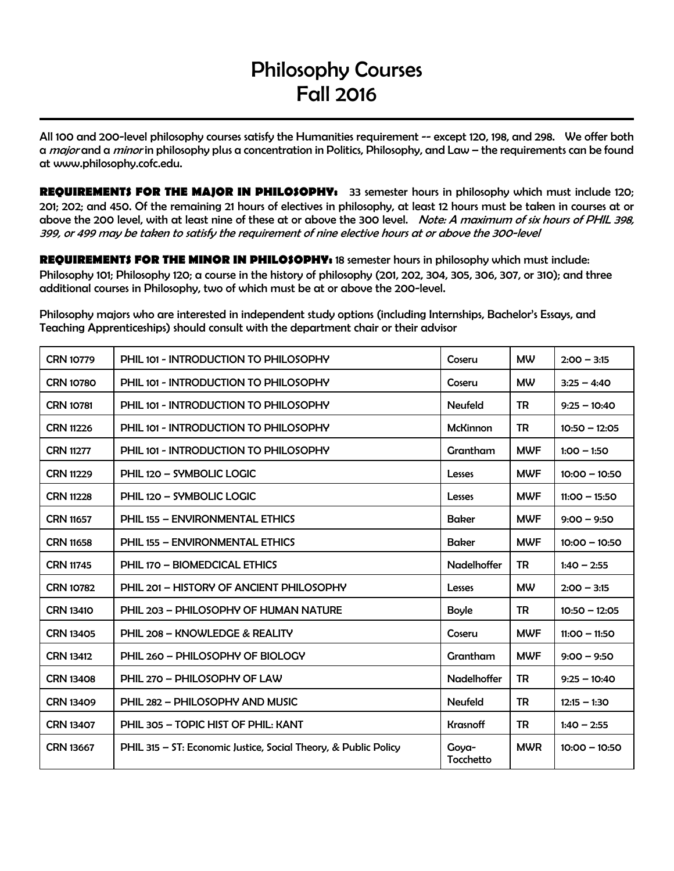# Philosophy Courses Fall 2016

All 100 and 200-level philosophy courses satisfy the Humanities requirement -- except 120, 198, and 298. We offer both a major and a minor in philosophy plus a concentration in Politics, Philosophy, and Law – the requirements can be found at www.philosophy.cofc.edu.

**REQUIREMENTS FOR THE MAJOR IN PHILOSOPHY:** 33 semester hours in philosophy which must include 120; 201; 202; and 450. Of the remaining 21 hours of electives in philosophy, at least 12 hours must be taken in courses at or above the 200 level, with at least nine of these at or above the 300 level. Note: A maximum of six hours of PHIL 398, 399, or 499 may be taken to satisfy the requirement of nine elective hours at or above the 300-level

**REQUIREMENTS FOR THE MINOR IN PHILOSOPHY:** 18 semester hours in philosophy which must include: Philosophy 101; Philosophy 120; a course in the history of philosophy (201, 202, 304, 305, 306, 307, or 310); and three additional courses in Philosophy, two of which must be at or above the 200-level.

Philosophy majors who are interested in independent study options (including Internships, Bachelor's Essays, and Teaching Apprenticeships) should consult with the department chair or their advisor

| <b>CRN 10779</b> | PHIL 101 - INTRODUCTION TO PHILOSOPHY                           | Coseru             | <b>MW</b>  | $2:00 - 3:15$   |
|------------------|-----------------------------------------------------------------|--------------------|------------|-----------------|
| <b>CRN 10780</b> | PHIL 101 - INTRODUCTION TO PHILOSOPHY                           | Coseru             | <b>MW</b>  | $3:25 - 4:40$   |
| <b>CRN 10781</b> | PHIL 101 - INTRODUCTION TO PHILOSOPHY                           | <b>Neufeld</b>     | <b>TR</b>  | $9:25 - 10:40$  |
| <b>CRN 11226</b> | PHIL 101 - INTRODUCTION TO PHILOSOPHY                           | <b>McKinnon</b>    | <b>TR</b>  | $10:50 - 12:05$ |
| <b>CRN 11277</b> | PHIL 101 - INTRODUCTION TO PHILOSOPHY                           | Grantham           | <b>MWF</b> | $1:00 - 1:50$   |
| <b>CRN 11229</b> | PHIL 120 - SYMBOLIC LOGIC                                       | Lesses             | <b>MWF</b> | $10:00 - 10:50$ |
| <b>CRN 11228</b> | PHIL 120 - SYMBOLIC LOGIC                                       | Lesses             | <b>MWF</b> | $11:00 - 15:50$ |
| <b>CRN 11657</b> | <b>PHIL 155 - ENVIRONMENTAL ETHICS</b>                          | <b>Baker</b>       | <b>MWF</b> | $9:00 - 9:50$   |
| <b>CRN 11658</b> | <b>PHIL 155 - ENVIRONMENTAL ETHICS</b>                          | <b>Baker</b>       | <b>MWF</b> | $10:00 - 10:50$ |
| <b>CRN 11745</b> | PHIL 170 - BIOMEDCICAL ETHICS                                   | Nadelhoffer        | TR         | $1:40 - 2:55$   |
| <b>CRN 10782</b> | PHIL 201 - HISTORY OF ANCIENT PHILOSOPHY                        | Lesses             | <b>MW</b>  | $2:00 - 3:15$   |
| <b>CRN 13410</b> | PHIL 203 - PHILOSOPHY OF HUMAN NATURE                           | <b>Boyle</b>       | TR         | $10:50 - 12:05$ |
| <b>CRN 13405</b> | <b>PHIL 208 - KNOWLEDGE &amp; REALITY</b>                       | Coseru             | <b>MWF</b> | $11:00 - 11:50$ |
| <b>CRN 13412</b> | PHIL 260 - PHILOSOPHY OF BIOLOGY                                | Grantham           | <b>MWF</b> | $9:00 - 9:50$   |
| <b>CRN 13408</b> | PHIL 270 - PHILOSOPHY OF LAW                                    | Nadelhoffer        | <b>TR</b>  | $9:25 - 10:40$  |
| <b>CRN 13409</b> | PHIL 282 - PHILOSOPHY AND MUSIC                                 | <b>Neufeld</b>     | <b>TR</b>  | $12:15 - 1:30$  |
| <b>CRN 13407</b> | PHIL 305 - TOPIC HIST OF PHIL: KANT                             | <b>Krasnoff</b>    | TR         | $1:40 - 2:55$   |
| <b>CRN 13667</b> | PHIL 315 – ST: Economic Justice, Social Theory, & Public Policy | Gova-<br>Tocchetto | <b>MWR</b> | $10:00 - 10:50$ |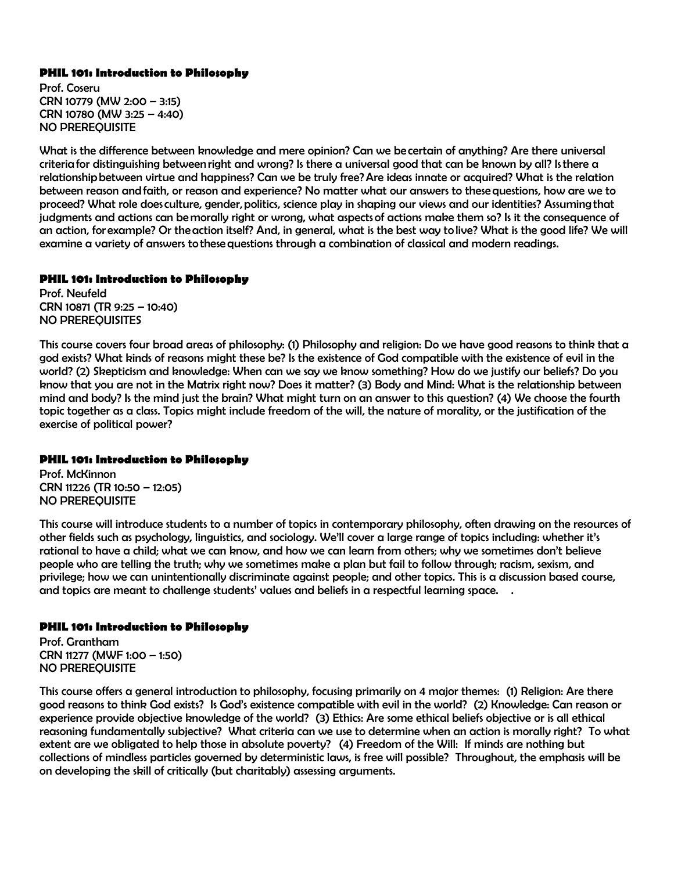## **PHIL 101: Introduction to Philosophy**

Prof. Coseru CRN 10779 (MW 2:00 – 3:15) CRN 10780 (MW 3:25 – 4:40) NO PREREQUISITE

What is the difference between knowledge and mere opinion? Can we be certain of anything? Are there universal criteria for distinguishing between right and wrong? Is there a universal good that can be known by all? Is there a relationship between virtue and happiness? Can we be truly free? Are ideas innate or acquired? What is the relation between reason and faith, or reason and experience? No matter what our answers to these questions, how are we to proceed? What role does culture, gender, politics, science play in shaping our views and our identities? Assuming that judgments and actions can be morally right or wrong, what aspects of actions make them so? Is it the consequence of an action, for example? Or the action itself? And, in general, what is the best way to live? What is the good life? We will examine a variety of answers to these questions through a combination of classical and modern readings.

## **PHIL 101: Introduction to Philosophy**

Prof. Neufeld CRN 10871 (TR 9:25 – 10:40) NO PREREQUISITES

This course covers four broad areas of philosophy: (1) Philosophy and religion: Do we have good reasons to think that a god exists? What kinds of reasons might these be? Is the existence of God compatible with the existence of evil in the world? (2) Skepticism and knowledge: When can we say we know something? How do we justify our beliefs? Do you know that you are not in the Matrix right now? Does it matter? (3) Body and Mind: What is the relationship between mind and body? Is the mind just the brain? What might turn on an answer to this question? (4) We choose the fourth topic together as a class. Topics might include freedom of the will, the nature of morality, or the justification of the exercise of political power?

## **PHIL 101: Introduction to Philosophy**

Prof. McKinnon CRN 11226 (TR 10:50 – 12:05) NO PREREQUISITE

This course will introduce students to a number of topics in contemporary philosophy, often drawing on the resources of other fields such as psychology, linguistics, and sociology. We'll cover a large range of topics including: whether it's rational to have a child; what we can know, and how we can learn from others; why we sometimes don't believe people who are telling the truth; why we sometimes make a plan but fail to follow through; racism, sexism, and privilege; how we can unintentionally discriminate against people; and other topics. This is a discussion based course, and topics are meant to challenge students' values and beliefs in a respectful learning space. .

# **PHIL 101: Introduction to Philosophy**

Prof. Grantham CRN 11277 (MWF 1:00 – 1:50) NO PREREQUISITE

This course offers a general introduction to philosophy, focusing primarily on 4 major themes: (1) Religion: Are there good reasons to think God exists? Is God's existence compatible with evil in the world? (2) Knowledge: Can reason or experience provide objective knowledge of the world? (3) Ethics: Are some ethical beliefs objective or is all ethical reasoning fundamentally subjective? What criteria can we use to determine when an action is morally right? To what extent are we obligated to help those in absolute poverty? (4) Freedom of the Will: If minds are nothing but collections of mindless particles governed by deterministic laws, is free will possible? Throughout, the emphasis will be on developing the skill of critically (but charitably) assessing arguments.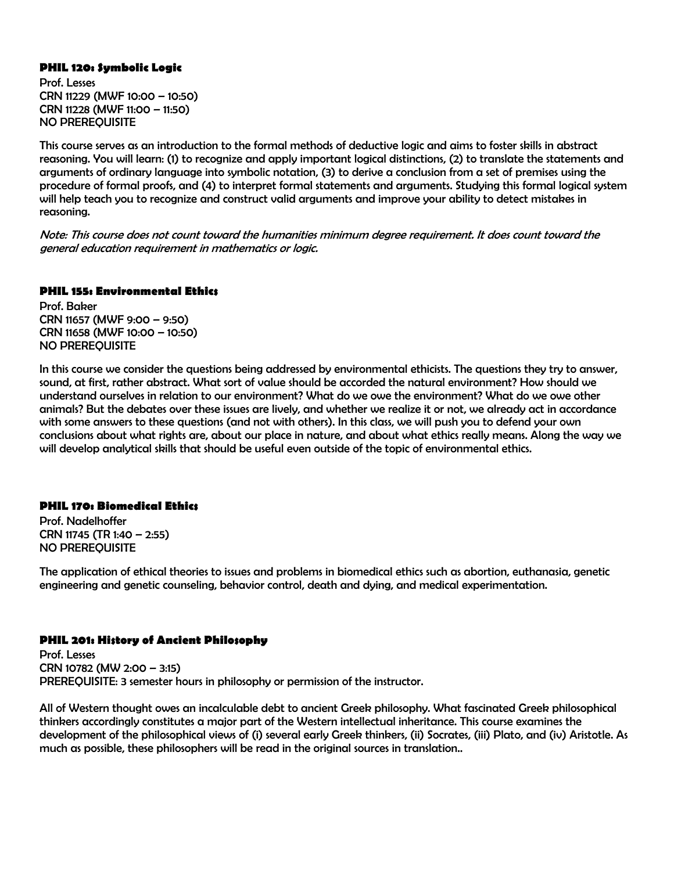#### **PHIL 120: Symbolic Logic**

Prof. Lesses CRN 11229 (MWF 10:00 – 10:50) CRN 11228 (MWF 11:00 – 11:50) NO PREREQUISITE

This course serves as an introduction to the formal methods of deductive logic and aims to foster skills in abstract reasoning. You will learn: (1) to recognize and apply important logical distinctions, (2) to translate the statements and arguments of ordinary language into symbolic notation, (3) to derive a conclusion from a set of premises using the procedure of formal proofs, and (4) to interpret formal statements and arguments. Studying this formal logical system will help teach you to recognize and construct valid arguments and improve your ability to detect mistakes in reasoning.

Note: This course does not count toward the humanities minimum degree requirement. It does count toward the general education requirement in mathematics or logic.

#### **PHIL 155: Environmental Ethics**

Prof. Baker CRN 11657 (MWF 9:00 – 9:50) CRN 11658 (MWF 10:00 – 10:50) NO PREREQUISITE

In this course we consider the questions being addressed by environmental ethicists. The questions they try to answer, sound, at first, rather abstract. What sort of value should be accorded the natural environment? How should we understand ourselves in relation to our environment? What do we owe the environment? What do we owe other animals? But the debates over these issues are lively, and whether we realize it or not, we already act in accordance with some answers to these questions (and not with others). In this class, we will push you to defend your own conclusions about what rights are, about our place in nature, and about what ethics really means. Along the way we will develop analytical skills that should be useful even outside of the topic of environmental ethics.

#### **PHIL 170: Biomedical Ethics**

Prof. Nadelhoffer CRN 11745 (TR 1:40 – 2:55) NO PREREQUISITE

The application of ethical theories to issues and problems in biomedical ethics such as abortion, euthanasia, genetic engineering and genetic counseling, behavior control, death and dying, and medical experimentation.

#### **PHIL 201: History of Ancient Philosophy**

Prof. Lesses CRN 10782 (MW 2:00 – 3:15) PREREQUISITE: 3 semester hours in philosophy or permission of the instructor.

All of Western thought owes an incalculable debt to ancient Greek philosophy. What fascinated Greek philosophical thinkers accordingly constitutes a major part of the Western intellectual inheritance. This course examines the development of the philosophical views of (i) several early Greek thinkers, (ii) Socrates, (iii) Plato, and (iv) Aristotle. As much as possible, these philosophers will be read in the original sources in translation..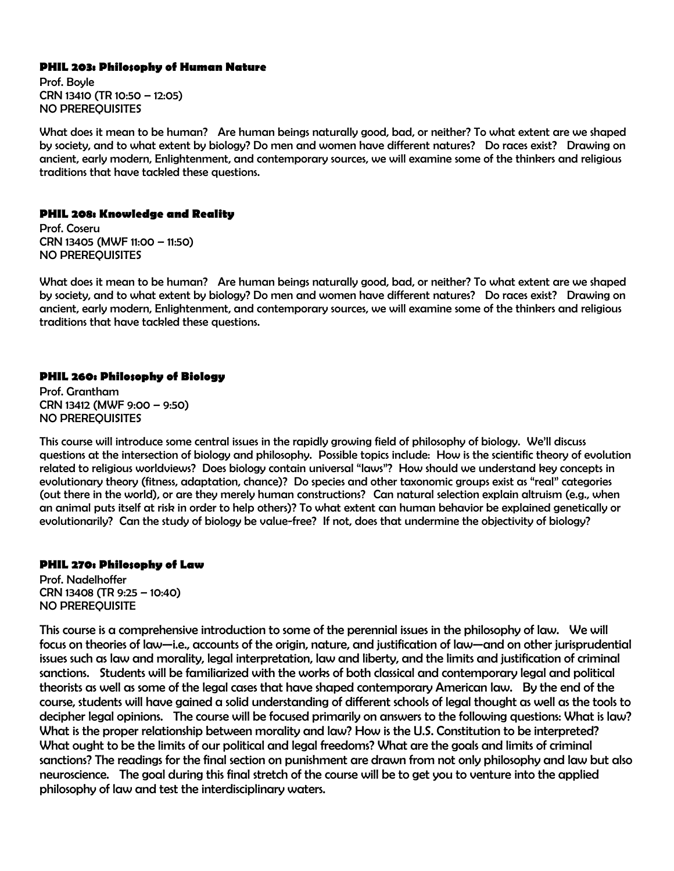## **PHIL 203: Philosophy of Human Nature**

Prof. Boyle CRN 13410 (TR 10:50 – 12:05) NO PREREQUISITES

What does it mean to be human? Are human beings naturally good, bad, or neither? To what extent are we shaped by society, and to what extent by biology? Do men and women have different natures? Do races exist? Drawing on ancient, early modern, Enlightenment, and contemporary sources, we will examine some of the thinkers and religious traditions that have tackled these questions.

## **PHIL 208: Knowledge and Reality**

Prof. Coseru CRN 13405 (MWF 11:00 – 11:50) NO PREREQUISITES

What does it mean to be human? Are human beings naturally good, bad, or neither? To what extent are we shaped by society, and to what extent by biology? Do men and women have different natures? Do races exist? Drawing on ancient, early modern, Enlightenment, and contemporary sources, we will examine some of the thinkers and religious traditions that have tackled these questions.

## **PHIL 260: Philosophy of Biology**

Prof. Grantham CRN 13412 (MWF 9:00 – 9:50) NO PREREQUISITES

This course will introduce some central issues in the rapidly growing field of philosophy of biology. We'll discuss questions at the intersection of biology and philosophy. Possible topics include: How is the scientific theory of evolution related to religious worldviews? Does biology contain universal "laws"? How should we understand key concepts in evolutionary theory (fitness, adaptation, chance)? Do species and other taxonomic groups exist as "real" categories (out there in the world), or are they merely human constructions? Can natural selection explain altruism (e.g., when an animal puts itself at risk in order to help others)? To what extent can human behavior be explained genetically or evolutionarily? Can the study of biology be value-free? If not, does that undermine the objectivity of biology?

#### **PHIL 270: Philosophy of Law**

Prof. Nadelhoffer CRN 13408 (TR 9:25 – 10:40) NO PREREQUISITE

This course is a comprehensive introduction to some of the perennial issues in the philosophy of law. We will focus on theories of law—i.e., accounts of the origin, nature, and justification of law—and on other jurisprudential issues such as law and morality, legal interpretation, law and liberty, and the limits and justification of criminal sanctions. Students will be familiarized with the works of both classical and contemporary legal and political theorists as well as some of the legal cases that have shaped contemporary American law. By the end of the course, students will have gained a solid understanding of different schools of legal thought as well as the tools to decipher legal opinions. The course will be focused primarily on answers to the following questions: What is law? What is the proper relationship between morality and law? How is the U.S. Constitution to be interpreted? What ought to be the limits of our political and legal freedoms? What are the goals and limits of criminal sanctions? The readings for the final section on punishment are drawn from not only philosophy and law but also neuroscience. The goal during this final stretch of the course will be to get you to venture into the applied philosophy of law and test the interdisciplinary waters.